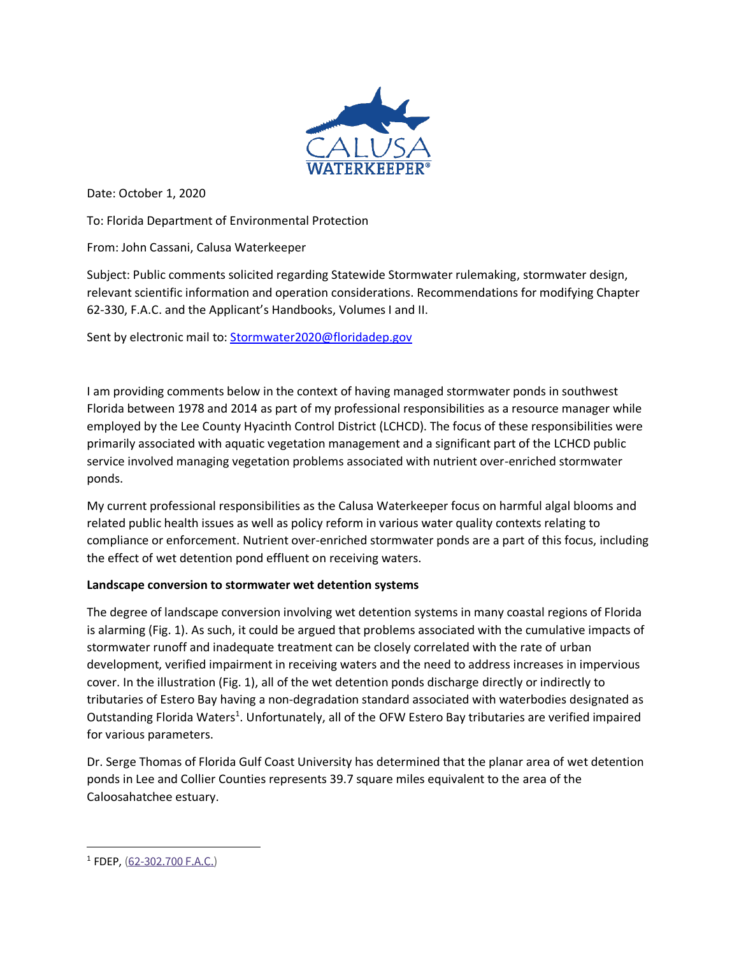

Date: October 1, 2020

To: Florida Department of Environmental Protection

From: John Cassani, Calusa Waterkeeper

Subject: Public comments solicited regarding Statewide Stormwater rulemaking, stormwater design, relevant scientific information and operation considerations. Recommendations for modifying Chapter 62-330, F.A.C. and the Applicant's Handbooks, Volumes I and II.

Sent by electronic mail to: [Stormwater2020@floridadep.gov](mailto:Stormwater2020@floridadep.gov)

I am providing comments below in the context of having managed stormwater ponds in southwest Florida between 1978 and 2014 as part of my professional responsibilities as a resource manager while employed by the Lee County Hyacinth Control District (LCHCD). The focus of these responsibilities were primarily associated with aquatic vegetation management and a significant part of the LCHCD public service involved managing vegetation problems associated with nutrient over-enriched stormwater ponds.

My current professional responsibilities as the Calusa Waterkeeper focus on harmful algal blooms and related public health issues as well as policy reform in various water quality contexts relating to compliance or enforcement. Nutrient over-enriched stormwater ponds are a part of this focus, including the effect of wet detention pond effluent on receiving waters.

## **Landscape conversion to stormwater wet detention systems**

The degree of landscape conversion involving wet detention systems in many coastal regions of Florida is alarming (Fig. 1). As such, it could be argued that problems associated with the cumulative impacts of stormwater runoff and inadequate treatment can be closely correlated with the rate of urban development, verified impairment in receiving waters and the need to address increases in impervious cover. In the illustration (Fig. 1), all of the wet detention ponds discharge directly or indirectly to tributaries of Estero Bay having a non-degradation standard associated with waterbodies designated as Outstanding Florida Waters<sup>1</sup>. Unfortunately, all of the OFW Estero Bay tributaries are verified impaired for various parameters.

Dr. Serge Thomas of Florida Gulf Coast University has determined that the planar area of wet detention ponds in Lee and Collier Counties represents 39.7 square miles equivalent to the area of the Caloosahatchee estuary.

<sup>&</sup>lt;sup>1</sup> FDEP, [\(62-302.700 F.A.C.\)](https://www.flrules.org/gateway/RuleNo.asp?title=SURFACE%20WATER%20QUALITY%20STANDARDS&ID=62-302.700)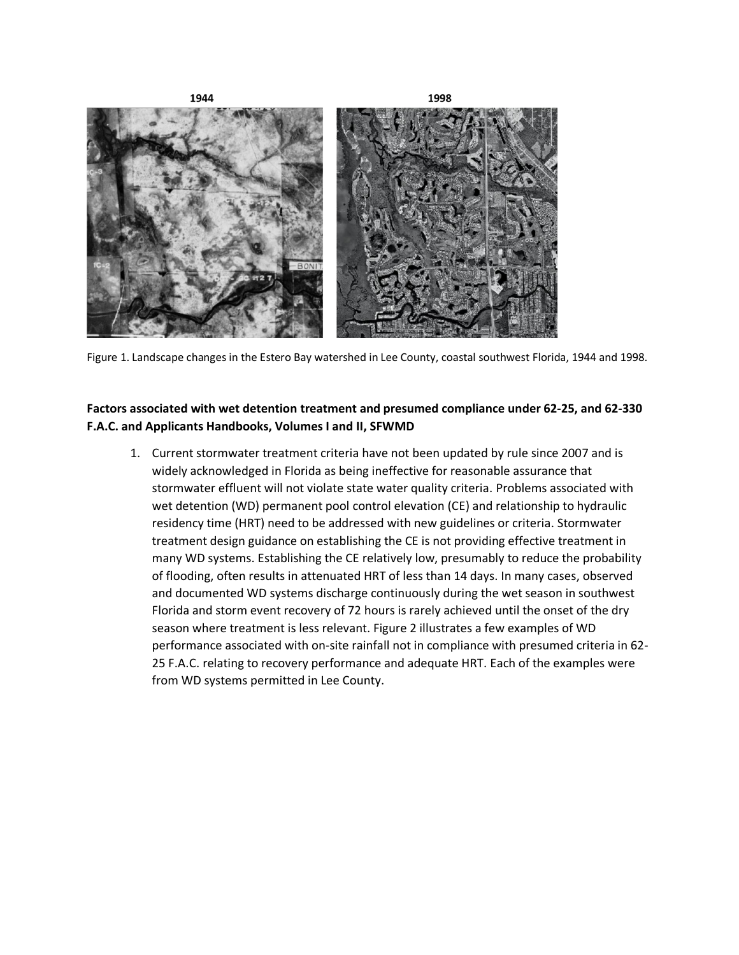

Figure 1. Landscape changes in the Estero Bay watershed in Lee County, coastal southwest Florida, 1944 and 1998.

## **Factors associated with wet detention treatment and presumed compliance under 62-25, and 62-330 F.A.C. and Applicants Handbooks, Volumes I and II, SFWMD**

1. Current stormwater treatment criteria have not been updated by rule since 2007 and is widely acknowledged in Florida as being ineffective for reasonable assurance that stormwater effluent will not violate state water quality criteria. Problems associated with wet detention (WD) permanent pool control elevation (CE) and relationship to hydraulic residency time (HRT) need to be addressed with new guidelines or criteria. Stormwater treatment design guidance on establishing the CE is not providing effective treatment in many WD systems. Establishing the CE relatively low, presumably to reduce the probability of flooding, often results in attenuated HRT of less than 14 days. In many cases, observed and documented WD systems discharge continuously during the wet season in southwest Florida and storm event recovery of 72 hours is rarely achieved until the onset of the dry season where treatment is less relevant. Figure 2 illustrates a few examples of WD performance associated with on-site rainfall not in compliance with presumed criteria in 62- 25 F.A.C. relating to recovery performance and adequate HRT. Each of the examples were from WD systems permitted in Lee County.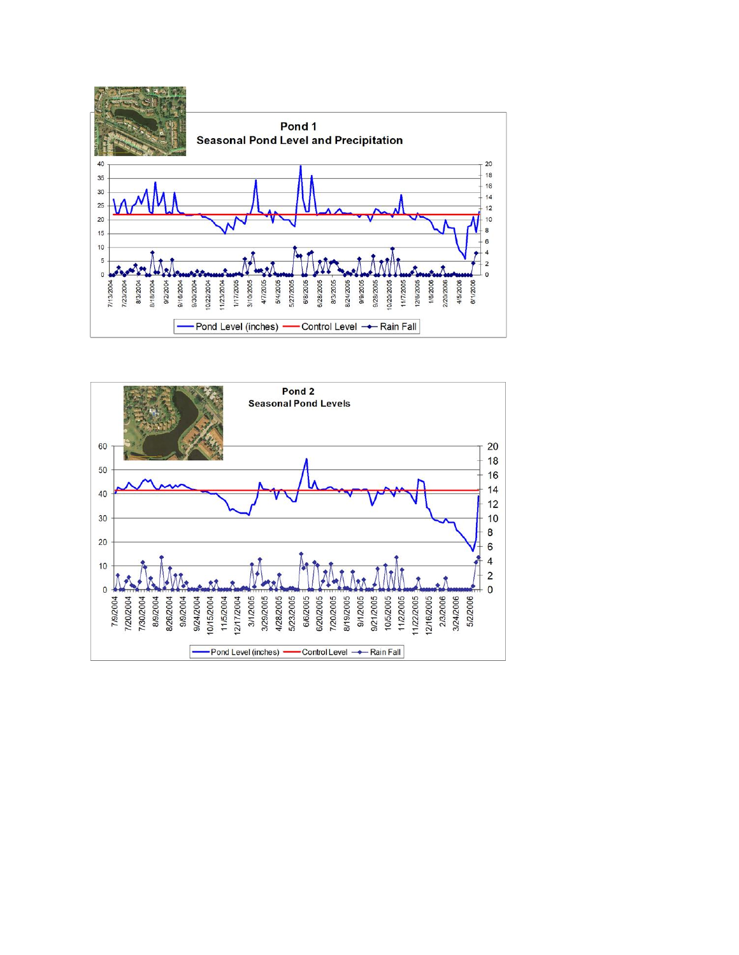

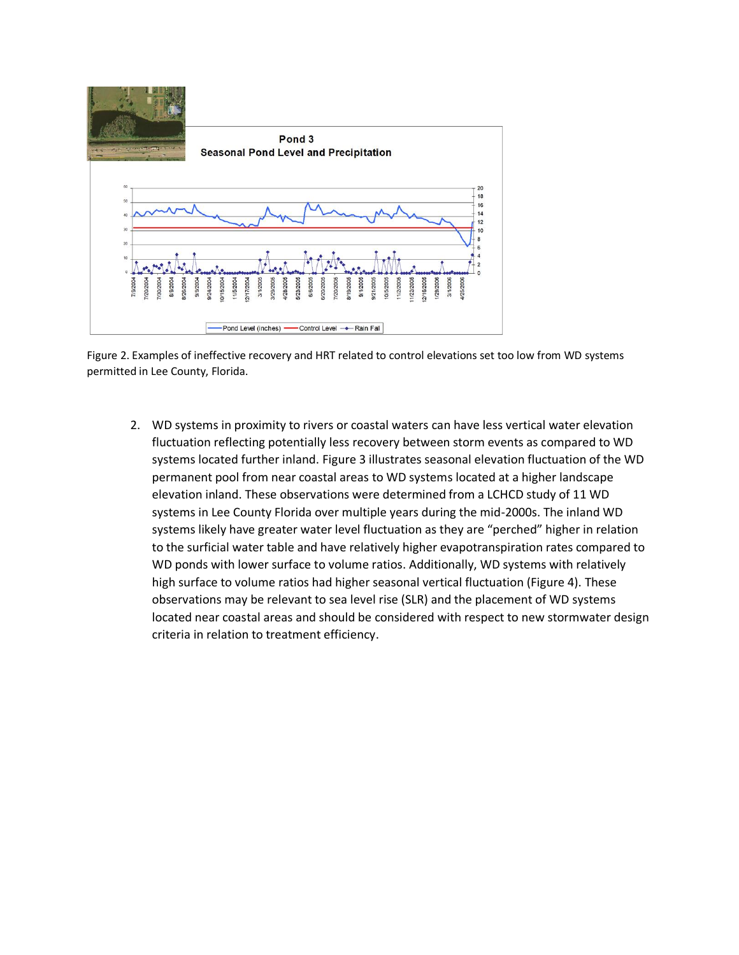

Figure 2. Examples of ineffective recovery and HRT related to control elevations set too low from WD systems permitted in Lee County, Florida.

2. WD systems in proximity to rivers or coastal waters can have less vertical water elevation fluctuation reflecting potentially less recovery between storm events as compared to WD systems located further inland. Figure 3 illustrates seasonal elevation fluctuation of the WD permanent pool from near coastal areas to WD systems located at a higher landscape elevation inland. These observations were determined from a LCHCD study of 11 WD systems in Lee County Florida over multiple years during the mid-2000s. The inland WD systems likely have greater water level fluctuation as they are "perched" higher in relation to the surficial water table and have relatively higher evapotranspiration rates compared to WD ponds with lower surface to volume ratios. Additionally, WD systems with relatively high surface to volume ratios had higher seasonal vertical fluctuation (Figure 4). These observations may be relevant to sea level rise (SLR) and the placement of WD systems located near coastal areas and should be considered with respect to new stormwater design criteria in relation to treatment efficiency.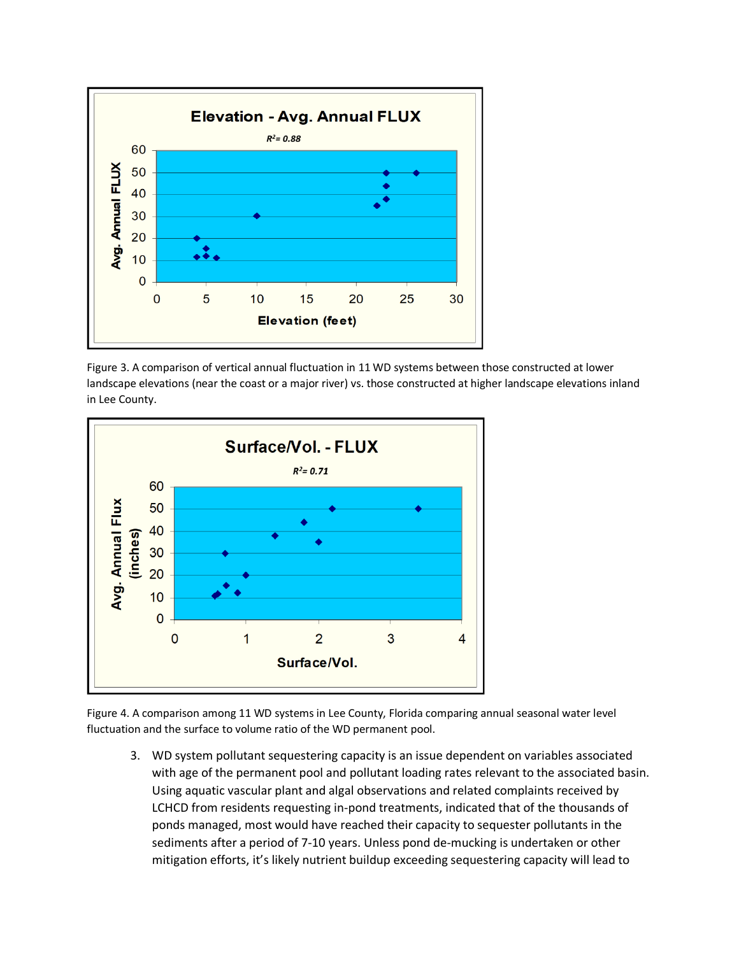

Figure 3. A comparison of vertical annual fluctuation in 11 WD systems between those constructed at lower landscape elevations (near the coast or a major river) vs. those constructed at higher landscape elevations inland in Lee County.



Figure 4. A comparison among 11 WD systems in Lee County, Florida comparing annual seasonal water level fluctuation and the surface to volume ratio of the WD permanent pool.

3. WD system pollutant sequestering capacity is an issue dependent on variables associated with age of the permanent pool and pollutant loading rates relevant to the associated basin. Using aquatic vascular plant and algal observations and related complaints received by LCHCD from residents requesting in-pond treatments, indicated that of the thousands of ponds managed, most would have reached their capacity to sequester pollutants in the sediments after a period of 7-10 years. Unless pond de-mucking is undertaken or other mitigation efforts, it's likely nutrient buildup exceeding sequestering capacity will lead to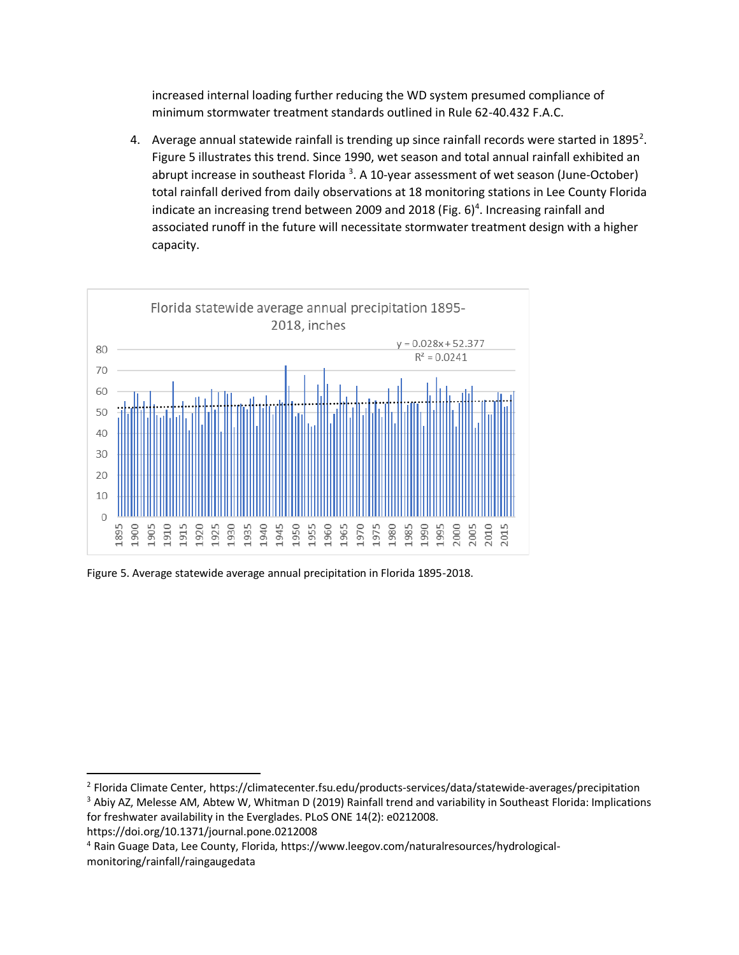increased internal loading further reducing the WD system presumed compliance of minimum stormwater treatment standards outlined in Rule 62-40.432 F.A.C.

4. Average annual statewide rainfall is trending up since rainfall records were started in 1895<sup>2</sup>. Figure 5 illustrates this trend. Since 1990, wet season and total annual rainfall exhibited an abrupt increase in southeast Florida<sup>3</sup>. A 10-year assessment of wet season (June-October) total rainfall derived from daily observations at 18 monitoring stations in Lee County Florida indicate an increasing trend between 2009 and 2018 (Fig.  $6$ )<sup>4</sup>. Increasing rainfall and associated runoff in the future will necessitate stormwater treatment design with a higher capacity.



Figure 5. Average statewide average annual precipitation in Florida 1895-2018.

<sup>&</sup>lt;sup>2</sup> Florida Climate Center, https://climatecenter.fsu.edu/products-services/data/statewide-averages/precipitation <sup>3</sup> Abiy AZ, Melesse AM, Abtew W, Whitman D (2019) Rainfall trend and variability in Southeast Florida: Implications for freshwater availability in the Everglades. PLoS ONE 14(2): e0212008.

https://doi.org/10.1371/journal.pone.0212008

<sup>4</sup> Rain Guage Data, Lee County, Florida, https://www.leegov.com/naturalresources/hydrologicalmonitoring/rainfall/raingaugedata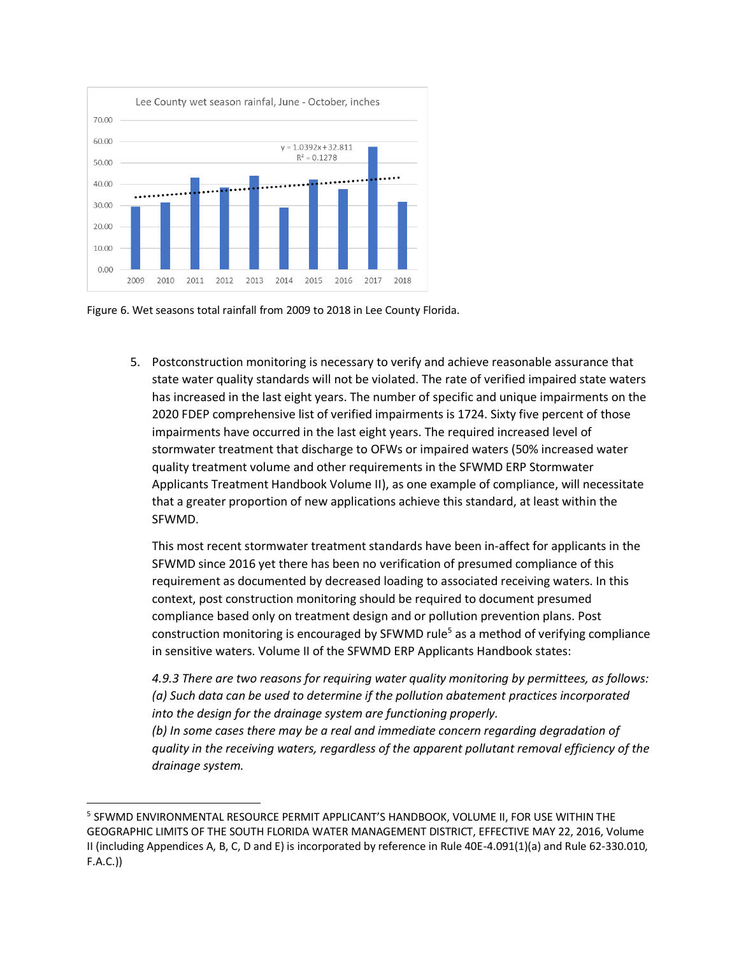

Figure 6. Wet seasons total rainfall from 2009 to 2018 in Lee County Florida.

5. Postconstruction monitoring is necessary to verify and achieve reasonable assurance that state water quality standards will not be violated. The rate of verified impaired state waters has increased in the last eight years. The number of specific and unique impairments on the 2020 FDEP comprehensive list of verified impairments is 1724. Sixty five percent of those impairments have occurred in the last eight years. The required increased level of stormwater treatment that discharge to OFWs or impaired waters (50% increased water quality treatment volume and other requirements in the SFWMD ERP Stormwater Applicants Treatment Handbook Volume II), as one example of compliance, will necessitate that a greater proportion of new applications achieve this standard, at least within the SFWMD.

This most recent stormwater treatment standards have been in-affect for applicants in the SFWMD since 2016 yet there has been no verification of presumed compliance of this requirement as documented by decreased loading to associated receiving waters. In this context, post construction monitoring should be required to document presumed compliance based only on treatment design and or pollution prevention plans. Post construction monitoring is encouraged by SFWMD rule<sup>5</sup> as a method of verifying compliance in sensitive waters. Volume II of the SFWMD ERP Applicants Handbook states:

*4.9.3 There are two reasons for requiring water quality monitoring by permittees, as follows: (a) Such data can be used to determine if the pollution abatement practices incorporated into the design for the drainage system are functioning properly.*

*(b) In some cases there may be a real and immediate concern regarding degradation of quality in the receiving waters, regardless of the apparent pollutant removal efficiency of the drainage system.*

<sup>5</sup> SFWMD ENVIRONMENTAL RESOURCE PERMIT APPLICANT'S HANDBOOK, VOLUME II, FOR USE WITHIN THE GEOGRAPHIC LIMITS OF THE SOUTH FLORIDA WATER MANAGEMENT DISTRICT, EFFECTIVE MAY 22, 2016, Volume II (including Appendices A, B, C, D and E) is incorporated by reference in Rule 40E-4.091(1)(a) and Rule 62-330.010, F.A.C.))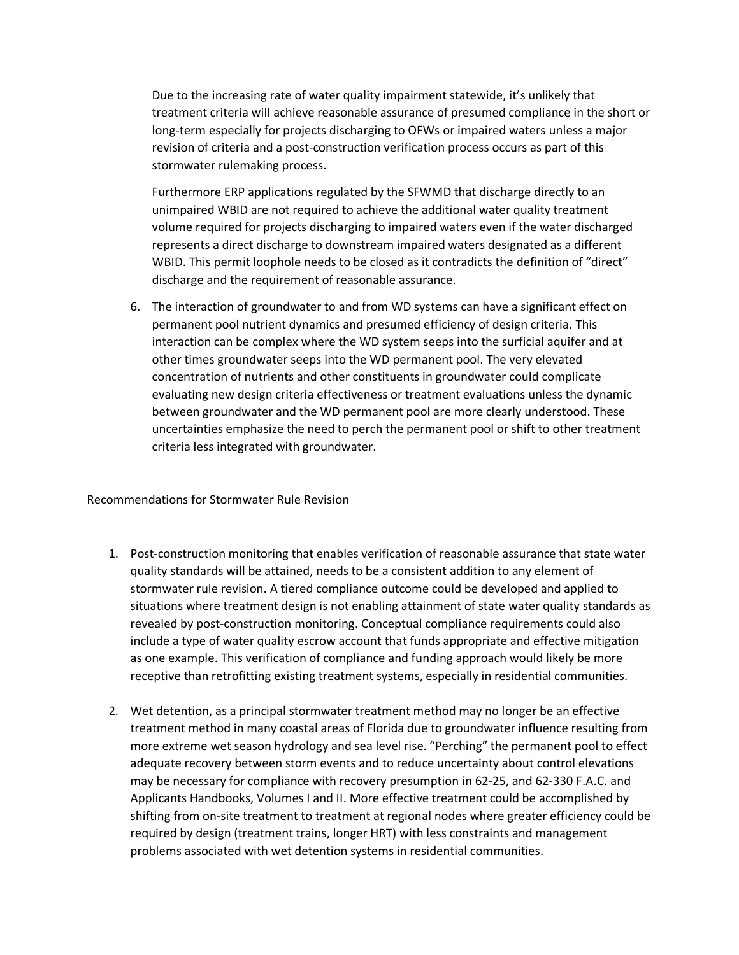Due to the increasing rate of water quality impairment statewide, it's unlikely that treatment criteria will achieve reasonable assurance of presumed compliance in the short or long-term especially for projects discharging to OFWs or impaired waters unless a major revision of criteria and a post-construction verification process occurs as part of this stormwater rulemaking process.

Furthermore ERP applications regulated by the SFWMD that discharge directly to an unimpaired WBID are not required to achieve the additional water quality treatment volume required for projects discharging to impaired waters even if the water discharged represents a direct discharge to downstream impaired waters designated as a different WBID. This permit loophole needs to be closed as it contradicts the definition of "direct" discharge and the requirement of reasonable assurance.

6. The interaction of groundwater to and from WD systems can have a significant effect on permanent pool nutrient dynamics and presumed efficiency of design criteria. This interaction can be complex where the WD system seeps into the surficial aquifer and at other times groundwater seeps into the WD permanent pool. The very elevated concentration of nutrients and other constituents in groundwater could complicate evaluating new design criteria effectiveness or treatment evaluations unless the dynamic between groundwater and the WD permanent pool are more clearly understood. These uncertainties emphasize the need to perch the permanent pool or shift to other treatment criteria less integrated with groundwater.

Recommendations for Stormwater Rule Revision

- 1. Post-construction monitoring that enables verification of reasonable assurance that state water quality standards will be attained, needs to be a consistent addition to any element of stormwater rule revision. A tiered compliance outcome could be developed and applied to situations where treatment design is not enabling attainment of state water quality standards as revealed by post-construction monitoring. Conceptual compliance requirements could also include a type of water quality escrow account that funds appropriate and effective mitigation as one example. This verification of compliance and funding approach would likely be more receptive than retrofitting existing treatment systems, especially in residential communities.
- 2. Wet detention, as a principal stormwater treatment method may no longer be an effective treatment method in many coastal areas of Florida due to groundwater influence resulting from more extreme wet season hydrology and sea level rise. "Perching" the permanent pool to effect adequate recovery between storm events and to reduce uncertainty about control elevations may be necessary for compliance with recovery presumption in 62-25, and 62-330 F.A.C. and Applicants Handbooks, Volumes I and II. More effective treatment could be accomplished by shifting from on-site treatment to treatment at regional nodes where greater efficiency could be required by design (treatment trains, longer HRT) with less constraints and management problems associated with wet detention systems in residential communities.